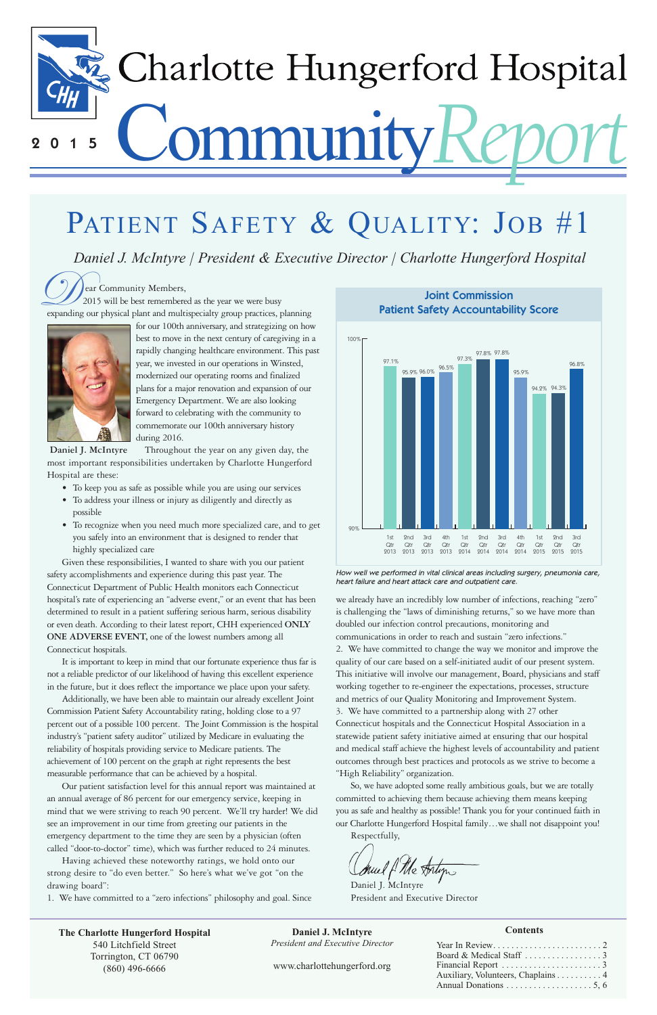### **Contents**



# PATIENT SAFETY & QUALITY: JOB #1

**Expanding Community Members,**<br>
expanding our physical plant and multispecialty group practices, planning 2015 will be best remembered as the year we were busy



| Auxiliary, Volunteers, Chaplains 4 |
|------------------------------------|
|                                    |

for our 100th anniversary, and strategizing on how best to move in the next century of caregiving in a rapidly changing healthcare environment. This past year, we invested in our operations in Winsted, modernized our operating rooms and finalized plans for a major renovation and expansion of our Emergency Department. We are also looking forward to celebrating with the community to commemorate our 100th anniversary history during 2016.

- To keep you as safe as possible while you are using our services
- To address your illness or injury as diligently and directly as possible
- To recognize when you need much more specialized care, and to get you safely into an environment that is designed to render that highly specialized care

Given these responsibilities, I wanted to share with you our patient safety accomplishments and experience during this past year. The Connecticut Department of Public Health monitors each Connecticut hospital's rate of experiencing an "adverse event," or an event that has been determined to result in a patient suffering serious harm, serious disability or even death. According to their latest report, CHH experienced **ONLY ONE ADVERSE EVENT,** one of the lowest numbers among all Connecticut hospitals.

It is important to keep in mind that our fortunate experience thus far is not a reliable predictor of our likelihood of having this excellent experience in the future, but it does reflect the importance we place upon your safety.

Daniel J. McIntyre President and Executive Director

| The Charlotte Hungerford Hospital | Daniel J. McIntyre                      |
|-----------------------------------|-----------------------------------------|
| 540 Litchfield Street             | <b>President and Executive Director</b> |
| Torrington, CT 06790              |                                         |
| $(860)$ 496-6666                  | www.charlottehungerford.org             |

Additionally, we have been able to maintain our already excellent Joint Commission Patient Safety Accountability rating, holding close to a 97 percent out of a possible 100 percent. The Joint Commission is the hospital industry's "patient safety auditor" utilized by Medicare in evaluating the reliability of hospitals providing service to Medicare patients. The achievement of 100 percent on the graph at right represents the best measurable performance that can be achieved by a hospital.

Throughout the year on any given day, the most important responsibilities undertaken by Charlotte Hungerford Hospital are these: **Daniel J. McIntyre**

Our patient satisfaction level for this annual report was maintained at an annual average of 86 percent for our emergency service, keeping in mind that we were striving to reach 90 percent. We'll try harder! We did see an improvement in our time from greeting our patients in the emergency department to the time they are seen by a physician (often called "door-to-doctor" time), which was further reduced to 24 minutes.

Having achieved these noteworthy ratings, we hold onto our strong desire to "do even better." So here's what we've got "on the drawing board":

1. We have committed to a "zero infections" philosophy and goal. Since

we already have an incredibly low number of infections, reaching "zero" is challenging the "laws of diminishing returns," so we have more than doubled our infection control precautions, monitoring and communications in order to reach and sustain "zero infections." 2. We have committed to change the way we monitor and improve the quality of our care based on a self-initiated audit of our present system. This initiative will involve our management, Board, physicians and staff working together to re-engineer the expectations, processes, structure and metrics of our Quality Monitoring and Improvement System. 3. We have committed to a partnership along with 27 other Connecticut hospitals and the Connecticut Hospital Association in a statewide patient safety initiative aimed at ensuring that our hospital and medical staff achieve the highest levels of accountability and patient outcomes through best practices and protocols as we strive to become a "High Reliability" organization.

So, we have adopted some really ambitious goals, but we are totally committed to achieving them because achieving them means keeping you as safe and healthy as possible! Thank you for your continued faith in our Charlotte Hungerford Hospital family…we shall not disappoint you! Respectfully,

Jul f Me Antigus

*Daniel J. McIntyre | President & Executive Director | Charlotte Hungerford Hospital*

**Joint Commission Patient Safety Accountability Score**



How well we performed in vital clinical areas including surgery, pneumonia care, heart failure and heart attack care and outpatient care.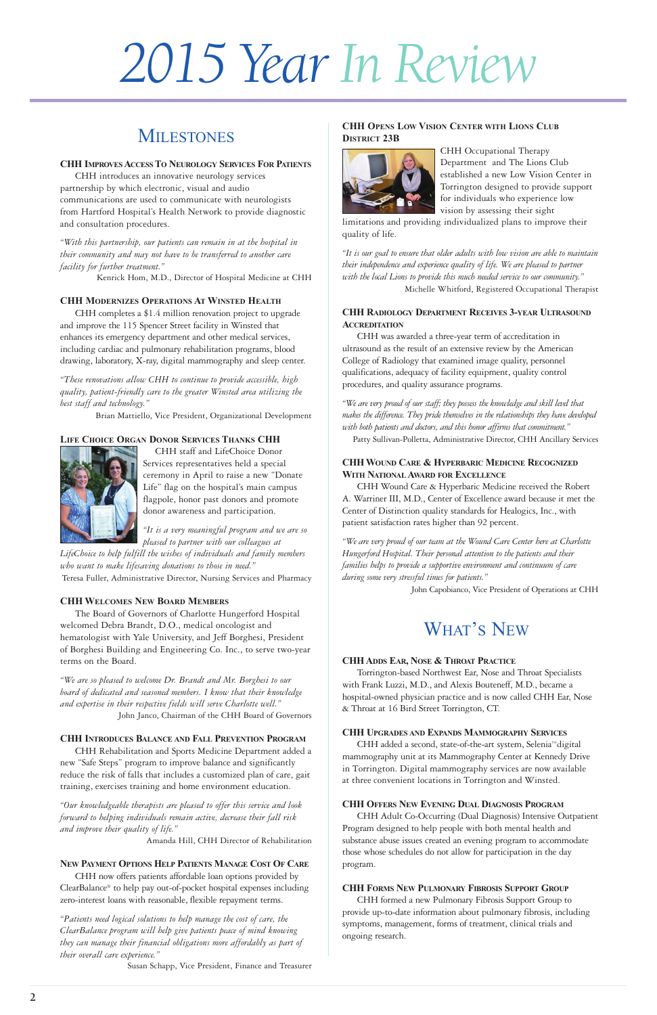# *2015 Year In Review*

# **MILESTONES**



### **CHH IMPROVESACCESSTO NEUROLOGY SERVICES FOR PATIENTS**

CHH introduces an innovative neurology services partnership by which electronic, visual and audio communications are used to communicate with neurologists from Hartford Hospital's Health Network to provide diagnostic and consultation procedures.

*"With this partnership, our patients can remain in at the hospital in their community and may not have to be transferred to another care facility for further treatment."* 

Kenrick Hom, M.D., Director of Hospital Medicine at CHH

### **CHH MODERNIZES OPERATIONS AT WINSTED HEALTH**

CHH completes a \$1.4 million renovation project to upgrade and improve the 115 Spencer Street facility in Winsted that enhances its emergency department and other medical services, including cardiac and pulmonary rehabilitation programs, blood drawing, laboratory, X-ray, digital mammography and sleep center.

*"These renovations allow CHH to continue to provide accessible, high quality, patient-friendly care to the greater Winsted area utilizing the best staff and technology."* 

Brian Mattiello, Vice President, Organizational Development

### **LIFE CHOICE ORGAN DONOR SERVICES THANKS CHH**



CHH staff and LifeChoice Donor Services representatives held a special ceremony in April to raise a new "Donate Life" flag on the hospital's main campus flagpole, honor past donors and promote donor awareness and participation.

*"It is a very meaningful program and we are so pleased to partner with our colleagues at*

*LifeChoice to help fulfill the wishes of individuals and family members who want to make lifesaving donations to those in need."* Teresa Fuller, Administrative Director, Nursing Services and Pharmacy

### **CHH WELCOMES NEW BOARD MEMBERS**

The Board of Governors of Charlotte Hungerford Hospital welcomed Debra Brandt, D.O., medical oncologist and hematologist with Yale University, and Jeff Borghesi, President of Borghesi Building and Engineering Co. Inc., to serve two-year terms on the Board.

*"We are so pleased to welcome Dr. Brandt and Mr. Borghesi to our board of dedicated and seasoned members. I know that their knowledge and expertise in their respective fields will serve Charlotte well."*  John Janco, Chairman of the CHH Board of Governors

### **CHH INTRODUCES BALANCE AND FALL PREVENTION PROGRAM**

CHH Rehabilitation and Sports Medicine Department added a new "Safe Steps" program to improve balance and significantly reduce the risk of falls that includes a customized plan of care, gait training, exercises training and home environment education.

*"Our knowledgeable therapists are pleased to offer this service and look forward to helping individuals remain active, decrease their fall risk and improve their quality of life."*

Amanda Hill, CHH Director of Rehabilitation

### **NEW PAYMENT OPTIONS HELP PATIENTS MANAGE COST OF CARE**

CHH now offers patients affordable loan options provided by ClearBalance® to help pay out-of-pocket hospital expenses including zero-interest loans with reasonable, flexible repayment terms.

*"Patients need logical solutions to help manage the cost of care, the ClearBalance program will help give patients peace of mind knowing they can manage their financial obligations more affordably as part of their overall care experience."* 

Susan Schapp, Vice President, Finance and Treasurer

### **CHH OPENS LOW VISION CENTER WITH LIONS CLUB DISTRICT 23B**



CHH Occupational Therapy Department and The Lions Club established a new Low Vision Center in Torrington designed to provide support for individuals who experience low vision by assessing their sight

limitations and providing individualized plans to improve their quality of life.

*"It is our goal to ensure that older adults with low vision are able to maintain their independence and experience quality of life. We are pleased to partner with the local Lions to provide this much needed service to our community."*  Michelle Whitford, Registered Occupational Therapist

### **CHH RADIOLOGY DEPARTMENT RECEIVES 3-YEAR ULTRASOUND ACCREDITATION**

CHH was awarded a three-year term of accreditation in ultrasound as the result of an extensive review by the American College of Radiology that examined image quality, personnel qualifications, adequacy of facility equipment, quality control procedures, and quality assurance programs.

*"We are very proud of our staff; they possess the knowledge and skill level that makes the difference. They pride themselves in the relationships they have developed with both patients and doctors, and this honor affirms that commitment."* 

Patty Sullivan-Polletta, Administrative Director, CHH Ancillary Services

### **CHH WOUND CARE & HYPERBARIC MEDICINE RECOGNIZED WITH NATIONALAWARD FOR EXCELLENCE**

CHH Wound Care & Hyperbaric Medicine received the Robert A. Warriner III, M.D., Center of Excellence award because it met the Center of Distinction quality standards for Healogics, Inc., with patient satisfaction rates higher than 92 percent.

*"We are very proud of our team at the Wound Care Center here at Charlotte Hungerford Hospital. Their personal attention to the patients and their families helps to provide a supportive environment and continuum of care during some very stressful times for patients."* 

John Capobianco, Vice President of Operations at CHH

### **CHH ADDS EAR, NOSE & THROAT PRACTICE**

Torrington-based Northwest Ear, Nose and Throat Specialists with Frank Luzzi, M.D., and Alexis Bouteneff, M.D., became a hospital-owned physician practice and is now called CHH Ear, Nose & Throat at 16 Bird Street Torrington, CT.

### **CHH UPGRADES AND EXPANDS MAMMOGRAPHY SERVICES**

CHH added a second, state-of-the-art system, Selenia™digital

mammography unit at its Mammography Center at Kennedy Drive in Torrington. Digital mammography services are now available at three convenient locations in Torrington and Winsted.

### **CHH OFFERS NEW EVENING DUAL DIAGNOSIS PROGRAM**

CHH Adult Co-Occurring (Dual Diagnosis) Intensive Outpatient Program designed to help people with both mental health and substance abuse issues created an evening program to accommodate those whose schedules do not allow for participation in the day program.

### **CHH FORMS NEW PULMONARY FIBROSIS SUPPORT GROUP**

CHH formed a new Pulmonary Fibrosis Support Group to provide up-to-date information about pulmonary fibrosis, including symptoms, management, forms of treatment, clinical trials and ongoing research.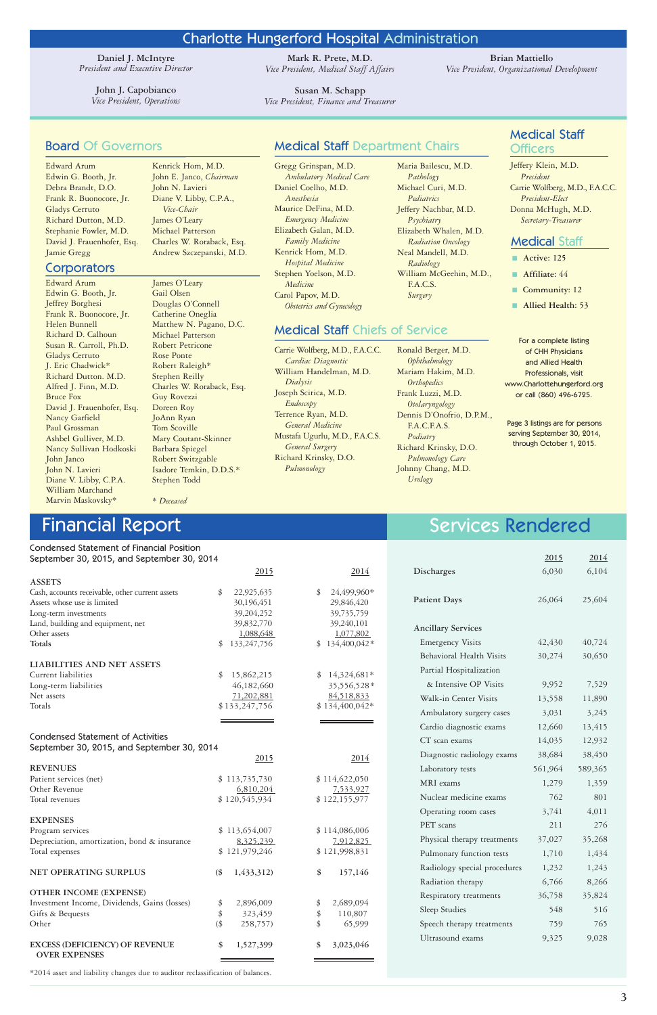**Daniel J. McIntyre**  *President and Executive Director*

> **John J. Capobianco** *Vice President, Operations*

### Board Of Governors

Edward Arum Edwin G. Booth, Jr. Debra Brandt, D.O. Frank R. Buonocore, Jr. Gladys Cerruto Richard Dutton, M.D. Stephanie Fowler, M.D. David J. Frauenhofer, Esq. Jamie Gregg

### **Corporators**

### Medical Staff **Officers**

# Medical Staff Department Chairs

Gregg Grinspan, M.D. *Ambulatory Medical Care* Daniel Coelho, M.D. *Anesthesia* Maurice DeFina, M.D. *Emergency Medicine* Elizabeth Galan, M.D. *Family Medicine* Kenrick Hom, M.D. *Hospital Medicine* Stephen Yoelson, M.D. *Medicine* Carol Papov, M.D. *Obstetrics and Gynecology*

- **Active: 125**
- **Affiliate: 44**
- **■ Community: 12**
- **■ Allied Health: 53**

Jeffery Klein, M.D. *President* Carrie Wolfberg, M.D., F.A.C.C. *President-Elect* Donna McHugh, M.D. *Secretary-Treasurer*

Edward Arum Edwin G. Booth, Jr. Jeffrey Borghesi Frank R. Buonocore, Jr. Helen Bunnell Richard D. Calhoun Susan R. Carroll, Ph.D. Gladys Cerruto J. Eric Chadwick\* Richard Dutton. M.D. Alfred J. Finn, M.D. Bruce Fox David J. Frauenhofer, Esq. Nancy Garfield Paul Grossman Ashbel Gulliver, M.D. Nancy Sullivan Hodkoski John Janco John N. Lavieri Diane V. Libby, C.P.A. William Marchand Marvin Maskovsky\*

### Medical Staff

For a complete listing of CHH Physicians and Allied Health Professionals, visit www.Charlottehungerford.org or call (860) 496-6725.

Kenrick Hom, M.D. John E. Janco, *Chairman* John N. Lavieri Diane V. Libby, C.P.A., *Vice-Chair* James O'Leary Michael Patterson Charles W. Roraback, Esq. Andrew Szczepanski, M.D.

James O'Leary Gail Olsen Douglas O'Connell Catherine Oneglia Matthew N. Pagano, D.C. Michael Patterson Robert Petricone Rose Ponte Robert Raleigh\* Stephen Reilly Charles W. Roraback, Esq. Guy Rovezzi Doreen Roy JoAnn Ryan Tom Scoville Mary Coutant-Skinner Barbara Spiegel Robert Switzgable Isadore Temkin, D.D.S.\* Stephen Todd

\* *Deceased*

Maria Bailescu, M.D. *Pathology* Michael Curi, M.D. *Pediatrics* Jeffery Nachbar, M.D. *Psychiatry* Elizabeth Whalen, M.D. *Radiation Oncology* Neal Mandell, M.D. *Radiology* William McGeehin, M.D., F.A.C.S. *Surgery*

# Charlotte Hungerford Hospital Administration

**Mark R. Prete, M.D.** *Vice President, Medical Staff Affairs*

**Susan M. Schapp** *Vice President, Finance and Treasurer*

**Brian Mattiello** *Vice President, Organizational Development*

|                                 | 2015    | 2014    |
|---------------------------------|---------|---------|
| <b>Discharges</b>               | 6,030   | 6,104   |
|                                 |         |         |
| <b>Patient Days</b>             | 26,064  | 25,604  |
|                                 |         |         |
| <b>Ancillary Services</b>       |         |         |
| <b>Emergency Visits</b>         | 42,430  | 40,724  |
| <b>Behavioral Health Visits</b> | 30,274  | 30,650  |
| Partial Hospitalization         |         |         |
| & Intensive OP Visits           | 9,952   | 7,529   |
| Walk-in Center Visits           | 13,558  | 11,890  |
| Ambulatory surgery cases        | 3,031   | 3,245   |
| Cardio diagnostic exams         | 12,660  | 13,415  |
| CT scan exams                   | 14,035  | 12,932  |
| Diagnostic radiology exams      | 38,684  | 38,450  |
| Laboratory tests                | 561,964 | 589,365 |
| MRI exams                       | 1,279   | 1,359   |
| Nuclear medicine exams          | 762     | 801     |
| Operating room cases            | 3,741   | 4,011   |
| PET scans                       | 211     | 276     |
| Physical therapy treatments     | 37,027  | 35,268  |
| Pulmonary function tests        | 1,710   | 1,434   |
| Radiology special procedures    | 1,232   | 1,243   |
| Radiation therapy               | 6,766   | 8,266   |
| Respiratory treatments          | 36,758  | 35,824  |
| <b>Sleep Studies</b>            | 548     | 516     |
| Speech therapy treatments       | 759     | 765     |
| <b>Ultrasound</b> exams         | 9,325   | 9,028   |

#### Condensed Statement of Financial Position September 30, 2015, and September 30, 2014

|                                                 | 2015                | 2014               |
|-------------------------------------------------|---------------------|--------------------|
| <b>ASSETS</b>                                   |                     |                    |
| Cash, accounts receivable, other current assets | \$<br>22,925,635    | 24,499,960*<br>\$  |
| Assets whose use is limited                     | 30,196,451          | 29,846,420         |
| Long-term investments                           | 39,204,252          | 39,735,759         |
| Land, building and equipment, net               | 39,832,770          | 39,240,101         |
| Other assets                                    | 1,088,648           | 1,077,802          |
| <b>Totals</b>                                   | 133, 247, 756<br>\$ | 134,400,042*<br>\$ |
| <b>LIABILITIES AND NET ASSETS</b>               |                     |                    |
| Current liabilities                             | \$<br>15,862,215    | 14,324,681*<br>\$  |
| Long-term liabilities                           | 46,182,660          | 35,556,528*        |
| Net assets                                      | 71,202,881          | 84,518,833         |
| Totals                                          | \$133,247,756       | $$134,400,042*$    |

### Condensed Statement of Activities

#### September 30, 2015, and September 30, 2014

|                                                               |                            | <u>2015</u>   | 2014            |
|---------------------------------------------------------------|----------------------------|---------------|-----------------|
| <b>REVENUES</b>                                               |                            |               |                 |
| Patient services (net)                                        |                            | \$113,735,730 | \$114,622,050   |
| Other Revenue                                                 |                            | 6,810,204     | 7,533,927       |
| Total revenues                                                |                            | \$120,545,934 | \$122,155,977   |
| <b>EXPENSES</b>                                               |                            |               |                 |
| Program services                                              |                            | \$113,654,007 | \$114,086,006   |
| Depreciation, amortization, bond & insurance                  |                            | 8,325,239     | 7,912,825       |
| Total expenses                                                |                            | \$121,979,246 | \$121,998,831   |
| <b>NET OPERATING SURPLUS</b>                                  | $\left(\frac{6}{5}\right)$ | 1,433,312)    | \$<br>157,146   |
| <b>OTHER INCOME (EXPENSE)</b>                                 |                            |               |                 |
| Investment Income, Dividends, Gains (losses)                  | \$                         | 2,896,009     | \$<br>2,689,094 |
| Gifts & Bequests                                              | \$                         | 323,459       | \$<br>110,807   |
| Other                                                         | $(\frac{4}{9})$            | 258,757)      | 65,999          |
| <b>EXCESS (DEFICIENCY) OF REVENUE</b><br><b>OVER EXPENSES</b> | \$                         | 1,527,399     | \$<br>3,023,046 |

Page 3 listings are for persons serving September 30, 2014, through October 1, 2015.

# Financial Report and Services Rendered

## Medical Staff Chiefs of Service

Carrie Wolfberg, M.D., F.A.C.C. *Cardiac Diagnostic* William Handelman, M.D. *Dialysis* Joseph Scirica, M.D. *Endoscopy* Terrence Ryan, M.D. *General Medicine* Mustafa Ugurlu, M.D., F.A.C.S. *General Surgery* Richard Krinsky, D.O. *Pulmonology*

Ronald Berger, M.D. *Ophthalmology* Mariam Hakim, M.D. *Orthopedics* Frank Luzzi, M.D. *Otolaryngology* Dennis D'Onofrio, D.P.M., F.A.C.F.A.S. *Podiatry* Richard Krinsky, D.O. *Pulmonology Care* Johnny Chang, M.D. *Urology*

\*2014 asset and liability changes due to auditor reclassification of balances.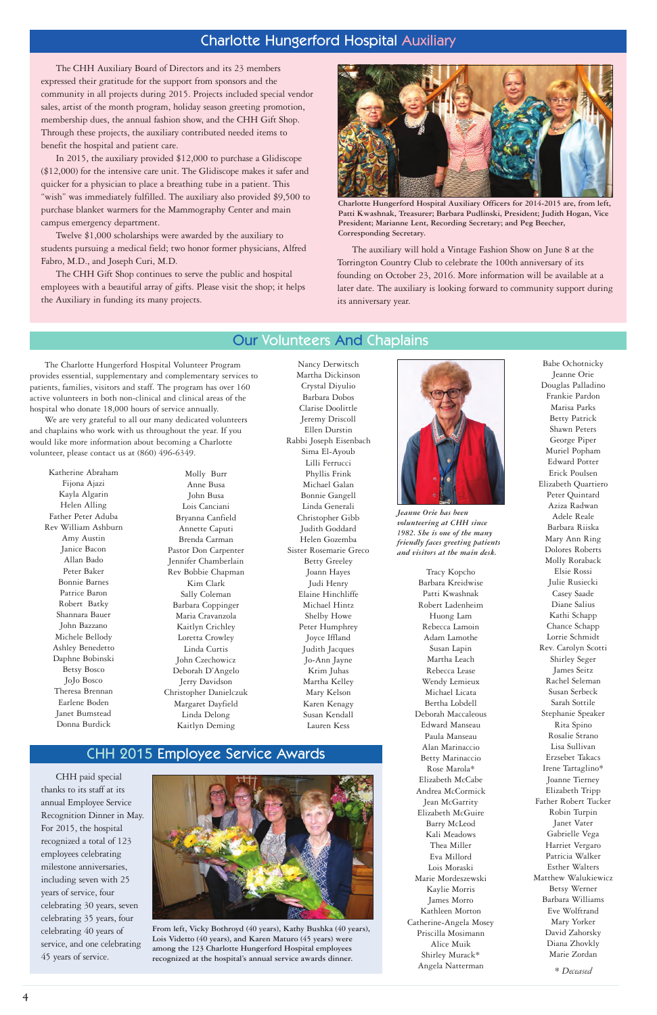Katherine Abraham Fijona Ajazi Kayla Algarin Helen Alling Father Peter Aduba Rev William Ashburn Amy Austin Janice Bacon Allan Bado Peter Baker Bonnie Barnes Patrice Baron Robert Batky Shannara Bauer John Bazzano Michele Bellody Ashley Benedetto Daphne Bobinski Betsy Bosco JoJo Bosco Theresa Brennan Earlene Boden Janet Bumstead Donna Burdick

Molly Burr Anne Busa John Busa Lois Canciani Bryanna Canfield Annette Caputi Brenda Carman Pastor Don Carpenter Jennifer Chamberlain Rev Bobbie Chapman Kim Clark Sally Coleman Barbara Coppinger Maria Cravanzola Kaitlyn Crichley Loretta Crowley Linda Curtis John Czechowicz Deborah D'Angelo Jerry Davidson Christopher Danielczuk Margaret Dayfield Linda Delong Kaitlyn Deming

Nancy Derwitsch

Martha Dickinson Crystal Diyulio Barbara Dobos Clarise Doolittle Jeremy Driscoll Ellen Durstin Rabbi Joseph Eisenbach Sima El-Ayoub Lilli Ferrucci Phyllis Frink Michael Galan Bonnie Gangell Linda Generali Christopher Gibb Judith Goddard Helen Gozemba Sister Rosemarie Greco Betty Greeley Joann Hayes Judi Henry Elaine Hinchliffe Michael Hintz Shelby Howe Peter Humphrey Joyce Iffland Judith Jacques Jo-Ann Jayne Krim Juhas Martha Kelley Mary Kelson Karen Kenagy Susan Kendall Lauren Kess



## Our Volunteers And Chaplains

# Charlotte Hungerford Hospital Auxiliary

The CHH Auxiliary Board of Directors and its 23 members expressed their gratitude for the support from sponsors and the community in all projects during 2015. Projects included special vendor sales, artist of the month program, holiday season greeting promotion, membership dues, the annual fashion show, and the CHH Gift Shop. Through these projects, the auxiliary contributed needed items to benefit the hospital and patient care.

In 2015, the auxiliary provided \$12,000 to purchase a Glidiscope (\$12,000) for the intensive care unit. The Glidiscope makes it safer and quicker for a physician to place a breathing tube in a patient. This "wish" was immediately fulfilled. The auxiliary also provided \$9,500 to purchase blanket warmers for the Mammography Center and main campus emergency department.

Twelve \$1,000 scholarships were awarded by the auxiliary to students pursuing a medical field; two honor former physicians, Alfred Fabro, M.D., and Joseph Curi, M.D.

The CHH Gift Shop continues to serve the public and hospital employees with a beautiful array of gifts. Please visit the shop; it helps the Auxiliary in funding its many projects.

> Tracy Kopcho Barbara Kreidwise Patti Kwashnak Robert Ladenheim Huong Lam Rebecca Lamoin Adam Lamothe Susan Lapin Martha Leach Rebecca Lease Wendy Lemieux Michael Licata Bertha Lobdell Deborah Maccaleous Edward Manseau Paula Manseau Alan Marinaccio Betty Marinaccio Rose Marola\* Elizabeth McCabe Andrea McCormick Jean McGarrity Elizabeth McGuire Barry McLeod Kali Meadows Thea Miller Eva Millord Lois Moraski Marie Mordeszewski Kaylie Morris James Morro Kathleen Morton Catherine-Angela Mosey Priscilla Mosimann Alice Muik Shirley Murack\* Angela Natterman

Babe Ochotnicky Jeanne Orie Douglas Palladino Frankie Pardon Marisa Parks Betty Patrick Shawn Peters George Piper Muriel Popham Edward Potter Erick Poulsen Elizabeth Quartiero Peter Quintard Aziza Radwan Adele Reale Barbara Riiska Mary Ann Ring Dolores Roberts Molly Roraback Elsie Rossi Julie Rusiecki Casey Saade Diane Salius Kathi Schapp Chance Schapp Lorrie Schmidt Rev. Carolyn Scotti Shirley Seger James Seitz Rachel Seleman Susan Serbeck Sarah Sottile Stephanie Speaker Rita Spino Rosalie Strano Lisa Sullivan Erzsebet Takacs Irene Tartaglino\* Joanne Tierney Elizabeth Tripp Father Robert Tucker Robin Turpin Janet Vater Gabrielle Vega Harriet Vergaro Patricia Walker Esther Walters Matthew Walukiewicz Betsy Werner Barbara Williams Eve Wolftrand Mary Yorker David Zahorsky Diana Zhovkly Marie Zordan

*\* Deceased*



**Charlotte Hungerford Hospital Auxiliary Officers for 2014-2015 are, from left, Patti Kwashnak, Treasurer; Barbara Pudlinski, President; Judith Hogan, Vice President; Marianne Lent, Recording Secretary; and Peg Beecher, Corresponding Secretary.**

The auxiliary will hold a Vintage Fashion Show on June 8 at the Torrington Country Club to celebrate the 100th anniversary of its founding on October 23, 2016. More information will be available at a later date. The auxiliary is looking forward to community support during its anniversary year.

The Charlotte Hungerford Hospital Volunteer Program provides essential, supplementary and complementary services to patients, families, visitors and staff. The program has over 160 active volunteers in both non-clinical and clinical areas of the hospital who donate 18,000 hours of service annually.

We are very grateful to all our many dedicated volunteers and chaplains who work with us throughout the year. If you would like more information about becoming a Charlotte volunteer, please contact us at (860) 496-6349.

> *Jeanne Orie has been volunteering at CHH since 1982. She is one of the many friendly faces greeting patients and visitors at the main desk.*

# CHH 2015 Employee Service Awards

CHH paid special thanks to its staff at its annual Employee Service Recognition Dinner in May. For 2015, the hospital recognized a total of 123 employees celebrating milestone anniversaries, including seven with 25 years of service, four celebrating 30 years, seven celebrating 35 years, four celebrating 40 years of service, and one celebrating 45 years of service.



**From left, Vicky Bothroyd (40 years), Kathy Bushka (40 years), Lois Videtto (40 years), and Karen Maturo (45 years) were among the 123 Charlotte Hungerford Hospital employees recognized at the hospital's annual service awards dinner.**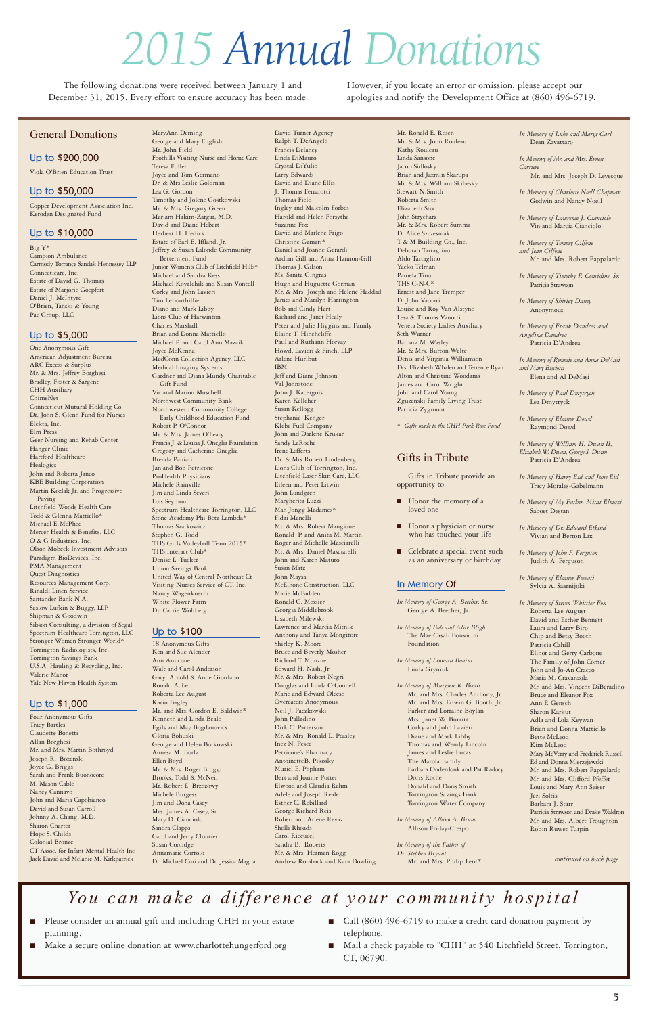Mr. Ronald E. Rosen Mr. & Mrs. John Rouleau Kathy Rouleau Linda Sansone Jacob Sidlosky Brian and Jazmin Skarupa Mr. & Mrs. William Skibesky Stewart N.Smith Roberta Smith Elizabeth Stott John Strycharz Mr. & Mrs. Robert Summa D. Alice Szczesniak T & M Building Co., Inc. Deborah Tartaglino Aldo Tartaglino Yaeko Telman Pamela Tino THS C-N-C\* Ernest and Jane Tremper D. John Vaccari Louise and Roy Van Alstyne Lesa & Thomas Vanotti Veneta Society Ladies Auxiliary Seth Warner Barbara M. Wasley Mr. & Mrs. Burton Welte Denis and Virginia Williamson Drs. Elizabeth Whalen and Terrence Ryan Alton and Christine Woodams James and Carol Wright John and Carol Young Zguzenski Family Living Trust Patricia Zygmont

- Honor the memory of a loved one
- Honor a physician or nurse who has touched your life
- **■** Celebrate a special event such as an anniversary or birthday

- *In Memory of George A. Beecher, Sr.* George A. Beecher, Jr.
- *In Memory of Bob and Alice Bligh* The Mae Casali Bonvicini Foundation
- *In Memory of Leonard Bonini* Linda Gryniuk
- *In Memory of Marjorie K. Booth* Mr. and Mrs. Charles Anthony, Jr. Mr. and Mrs. Edwin G. Booth, Jr. Parker and Lorraine Boylan Mrs. Janet W. Burritt Corky and John Lavieri Diane and Mark Libby Thomas and Wendy Lincoln

\* *Gifts made to the CHH Pink Rose Fund*

### Gifts in Tribute

Gifts in Tribute provide an opportunity to:

James and Leslie Lucas The Marola Family Barbara Onderdonk and Pat Radocy Doris Rothe Donald and Doris Smith Torrington Savings Bank Torrington Water Company

*In Memory of Albino A. Bruno* Allison Friday-Crespo

*In Memory of the Father of Dr. Stephen Bryant* Mr. and Mrs. Philip Lent\*

# *2015 Annual Donations*

The following donations were received between January 1 and December 31, 2015. Every effort to ensure accuracy has been made.

### General Donations

Viola O'Brien Education Trust

Copper Development Association Inc. Keroden Designated Fund

Big Y\* Campion Ambulance Carmody Torrance Sandak Hennessey LLP Connecticare, Inc. Estate of David G. Thomas Estate of Marjorie Goepfert Daniel J. McIntyre O'Brien, Tanski & Young Pac Group, LLC

One Anonymous Gift American Adjustment Bureau ARC Excess & Surplus Mr. & Mrs. Jeffrey Borghesi Bradley, Foster & Sargent CHH Auxiliary ChimeNet Connecticut Mutural Holding Co. Dr. John S. Glenn Fund for Nurses Elekta, Inc. Elm Press Geer Nursing and Rehab Center Hanger Clinic Hartford Healthcare Healogics John and Roberta Janco KBE Building Corporation Martin Kozlak Jr. and Progressive Paving Litchfield Woods Health Care Todd & Glenna Mattiello\* Michael E.McPhee Mercer Health & Benefits, LLC O & G Industries, Inc. Olson Mobeck Investment Advisors Paradigm BioDevices, Inc. PMA Management Quest Diagnostics Resources Management Corp. Rinaldi Linen Service Santander Bank N.A. Saslow Lufkin & Buggy, LLP Shipman & Goodwin Sibson Consulting, a division of Segal Spectrum Healthcare Torrington, LLC Stronger Women Stronger World\* Torrington Radiologists, Inc. Torrington Savings Bank U.S.A. Hauling & Recycling, Inc. Valerie Manor Yale New Haven Health System

Four Anonymous Gifts Tracy Bartles Claudette Bonetti Allan Borghesi

Mr. and Mrs. Martin Bothroyd Joseph R. Bozenski Joyce G. Briggs Sarah and Frank Buonocore M. Mason Cable Nancy Cannavo John and Maria Capobianco David and Susan Carroll Johnny A. Chang, M.D. Sharon Charter Hope S. Childs Colonial Bronze CT Assoc. for Infant Mental Health Inc Jack David and Melanie M. Kirkpatrick MaryAnn Deming

- Please consider an annual gift and including CHH in your estate planning.
- Make a secure online donation at www.charlottehungerford.org
- Call (860) 496-6719 to make a credit card donation payment by telephone.
- Mail a check payable to "CHH" at 540 Litchfield Street, Torrington, CT, 06790.

George and Mary English Mr. John Field Foothills Visiting Nurse and Home Care Teresa Fuller Joyce and Tom Germano Dr. & Mrs.Leslie Goldman Lea G. Gordon Timothy and Jolene Gostkowski Mr. & Mrs. Gregory Green Mariam Hakim-Zargar, M.D. David and Diane Hebert Herbert H. Hedick Estate of Earl E. Iffland, Jr. Jeffrey & Susan Lalonde Community Betterment Fund Junior Women's Club of Litchfield Hills\* Michael and Sandra Kess Michael Kovalchik and Susan Vontell Corky and John Lavieri Tim LeBouthillier Diane and Mark Libby Lions Club of Harwinton Charles Marshall Brian and Donna Mattiello Michael P. and Carol Ann Mazaik Joyce McKenna MedConn Collection Agency, LLC Medical Imaging Systems Gardner and Diana Mundy Charitable Gift Fund Vic and Marion Muschell Northwest Community Bank Northwestern Community College Early Childhood Education Fund Robert P. O'Connor Mr. & Mrs. James O'Leary Francis J. & Louisa J. Oneglia Foundation Gregory and Catherine Oneglia Brenda Paniati Jan and Bob Petricone ProHealth Physicians Michele Rainville Jim and Linda Severi Lois Seymour Spectrum Healthcare Torrington, LLC Stone Academy Phi Beta Lambda\* Thomas Szarkowicz Stephen G. Todd THS Girls Volleyball Team 2015\* THS Interact Club\* Denise L. Tucker Union Savings Bank United Way of Central Northeast Ct Visiting Nurses Service of CT, Inc. Nancy Wagenknecht White Flower Farm Dr. Carrie Wolfberg

- *In Memory of Harry Eid and June Eid* Tracy Morales-Gabelmann
- *In Memory of My Father, Mitat Elmazi* Saboet Destan
- *In Memory of Dr. Edward Etkind* Vivian and Berton Lax
- *In Memory of John F. Ferguson* Judith A. Ferguson
- *In Memory of Eleanor Fossati* Sylvia A. Saarnijoki
- *In Memory of Steven Whittier Fox* Roberta Lee August David and Esther Bennett Laura and Larry Biro Chip and Betsy Booth Patricia Cahill Elinor and Gerry Carbone The Family of John Comer John and Jo-An Cracco Maria M. Cravanzola Mr. and Mrs. Vincent DiBeradino Bruce and Eleanor Fox Ann F. Gensch Sharon Karkut Adla and Lola Keywan Brian and Donna Mattiello Bette McLeod  $Kim$  McLeo

18 Anonymous Gifts Ken and Sue Alender Ann Amicone Walt and Carol Anderson Gary Arnold & Anne Giordano Ronald Aubel Roberta Lee August Karin Bagley Mr. and Mrs. Gordon E. Baldwin\* Kenneth and Linda Beale Egils and May Bogdanovics Gloria Bohuski George and Helen Borkowski Annesa M. Borla Ellen Boyd Mr. & Mrs. Roger Broggi Brooks, Todd & McNeil Mr. Robert E. Brzozowy Michele Burgess Jim and Dona Casey Mrs. James A. Casey, Sr. Mary D. Cianciolo Sandra Clapps Carol and Jerry Cloutier Susan Coolidge Annamarie Corrolo Dr. Michael Curi and Dr. Jessica Magda

David Turner Agency Ralph T. DeAngelo Francis Delaney Linda DiMauro Crystal DiYulio Larry Edwards David and Diane Ellis J. Thomas Ferrarotti Thomas Field Ingley and Malcolm Forbes Harold and Helen Forsythe Suzanne Fox David and Marlene Frigo Christine Gamari\* Daniel and Joanne Gerardi Ardian Gill and Anna Hannon-Gill Thomas J. Gilson Ms. Sanita Gingras Hugh and Huguette Gorman Mr. & Mrs. Joseph and Helene Haddad James and Marilyn Harrington Bob and Cindy Hart Richard and Janet Healy Peter and Julie Higgins and Family Elaine T. Hinchcliffe Paul and Ruthann Horvay Howd, Lavieri & Finch, LLP Arlene Hurlbut IBM Jeff and Diane Johnson Val Johnstone John J. Kacerguis Karen Kelleher Susan Kellogg Stephanie Kenger Klebe Fuel Company John and Darlene Krukar Sandy LaRoche Irene Lefferts Dr. & Mrs.Robert Lindenberg Lions Club of Torrington, Inc. Litchfield Laser Skin Care, LLC Eileen and Peter Litwin John Lundgren Margherita Luzzi Mah Jongg Madames\* Fidai Manelli Mr. & Mrs. Robert Mangione Ronald P. and Anita M. Martin Roger and Michelle Masciarelli Mr. & Mrs. Daniel Masciarelli John and Karen Maturo Susan Matz John Maysa McElhone Construction, LLC Marie McFadden Ronald C. Messier Georgia Middlebrook Lisabeth Milewski Lawrence and Marcia Mitnik Anthony and Tanya Mongitore Shirley K. Moore Bruce and Beverly Mosher Richard T. Munzner Edward H. Nash, Jr. Mr. & Mrs. Robert Negri Douglas and Linda O'Connell Marie and Edward Olcese Overeaters Anonymous Neil J. Paczkowski John Palladino Dirk C. Patterson

Mr. & Mrs. Ronald L. Peasley

Inez N. Pesce Petricone's Pharmacy AntoinetteB. Pikosky Muriel E. Popham Bert and Joanne Potter Elwood and Claudia Rahm Adele and Joseph Reale Esther C. Rebillard George Richard Reis Robert and Arlene Revaz Shelli Rhoads Carol Riccucci Sandra B. Roberts Mr. & Mrs. Herman Rogg Andrew Roraback and Kara Dowling

### Up to \$50,000

### Up to \$10,000

### Up to \$5,000

### Up to \$1,000

### Up to \$100

### Up to \$200,000

# *You can make a difference at your community hospital*

*In Memory of Luke and Marge Carl* Dean Zavattaro

*In Memory of Mr. and Mrs. Ernest Carriere*

- Mr. and Mrs. Joseph D. Levesque
- *In Memory of Charlotte Noell Chapman* Godwin and Nancy Noell
- *In Memory of Lawrence J. Cianciolo* Vin and Marcia Cianciolo

*In Memory of Tommy Cilfone and Jean Cilfone* Mr. and Mrs. Robert Pappalardo

*In Memory of Timothy F. Considine, Sr.* Patricia Strawson

*In Memory of Shirley Daney* Anonymous

*In Memory of Frank Dandrea and Angelina Dandrea* Patricia D'Andrea

*In Memory of Remmie and Anna DeMasi and Mary Bisciotti* Elena and Al DeMasi

*In Memory of Paul Dmytryck* Lea Dmytryck

*In Memory of Eleanor Dowd* Raymond Dowd

*In Memory of William H. Dwan II, Elizabeth W. Dwan, George S. Dwan* Patricia D'Andrea

> Mary McVerry and Frederick Russell Ed and Donna Mierzejewski Mr. and Mrs. Robert Pappalardo Mr. and Mrs. Clifford Pfeffer Louis and Mary Ann Seiser Jeri Soltis Barbara J. Starr Patricia Strawson and Drake Waldron Mr. and Mrs. Albert Troughton Robin Ruwet Turpin

However, if you locate an error or omission, please accept our apologies and notify the Development Office at (860) 496-6719.

*continued on back page*

### In Memory Of